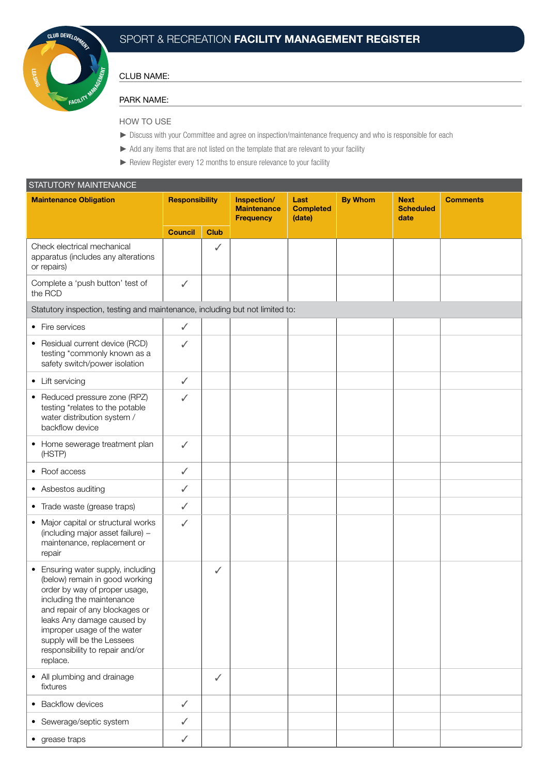

# SPORT & RECREATION FACILITY MANAGEMENT REGISTER

#### CLUB NAME:

#### PARK NAME:

### HOW TO USE

- ► Discuss with your Committee and agree on inspection/maintenance frequency and who is responsible for each
- ► Add any items that are not listed on the template that are relevant to your facility
- ► Review Register every 12 months to ensure relevance to your facility

| STATUTORY MAINTENANCE                                                                                                                                                                                                                                                                                          |                       |              |                                                       |                                    |                |                                         |                 |  |  |  |
|----------------------------------------------------------------------------------------------------------------------------------------------------------------------------------------------------------------------------------------------------------------------------------------------------------------|-----------------------|--------------|-------------------------------------------------------|------------------------------------|----------------|-----------------------------------------|-----------------|--|--|--|
| <b>Maintenance Obligation</b>                                                                                                                                                                                                                                                                                  | <b>Responsibility</b> |              | Inspection/<br><b>Maintenance</b><br><b>Frequency</b> | Last<br><b>Completed</b><br>(date) | <b>By Whom</b> | <b>Next</b><br><b>Scheduled</b><br>date | <b>Comments</b> |  |  |  |
|                                                                                                                                                                                                                                                                                                                | <b>Council</b>        | <b>Club</b>  |                                                       |                                    |                |                                         |                 |  |  |  |
| Check electrical mechanical<br>apparatus (includes any alterations<br>or repairs)                                                                                                                                                                                                                              |                       | ✓            |                                                       |                                    |                |                                         |                 |  |  |  |
| Complete a 'push button' test of<br>the RCD                                                                                                                                                                                                                                                                    | $\checkmark$          |              |                                                       |                                    |                |                                         |                 |  |  |  |
| Statutory inspection, testing and maintenance, including but not limited to:                                                                                                                                                                                                                                   |                       |              |                                                       |                                    |                |                                         |                 |  |  |  |
| • Fire services                                                                                                                                                                                                                                                                                                | $\checkmark$          |              |                                                       |                                    |                |                                         |                 |  |  |  |
| • Residual current device (RCD)<br>testing *commonly known as a<br>safety switch/power isolation                                                                                                                                                                                                               | ✓                     |              |                                                       |                                    |                |                                         |                 |  |  |  |
| • Lift servicing                                                                                                                                                                                                                                                                                               | $\checkmark$          |              |                                                       |                                    |                |                                         |                 |  |  |  |
| • Reduced pressure zone (RPZ)<br>testing *relates to the potable<br>water distribution system /<br>backflow device                                                                                                                                                                                             | $\checkmark$          |              |                                                       |                                    |                |                                         |                 |  |  |  |
| • Home sewerage treatment plan<br>(HSTP)                                                                                                                                                                                                                                                                       | $\checkmark$          |              |                                                       |                                    |                |                                         |                 |  |  |  |
| • Roof access                                                                                                                                                                                                                                                                                                  | $\checkmark$          |              |                                                       |                                    |                |                                         |                 |  |  |  |
| • Asbestos auditing                                                                                                                                                                                                                                                                                            | $\checkmark$          |              |                                                       |                                    |                |                                         |                 |  |  |  |
| • Trade waste (grease traps)                                                                                                                                                                                                                                                                                   | $\checkmark$          |              |                                                       |                                    |                |                                         |                 |  |  |  |
| • Major capital or structural works<br>(including major asset failure) -<br>maintenance, replacement or<br>repair                                                                                                                                                                                              | ✓                     |              |                                                       |                                    |                |                                         |                 |  |  |  |
| • Ensuring water supply, including<br>(below) remain in good working<br>order by way of proper usage,<br>including the maintenance<br>and repair of any blockages or<br>leaks Any damage caused by<br>improper usage of the water<br>supply will be the Lessees<br>responsibility to repair and/or<br>replace. |                       | $\checkmark$ |                                                       |                                    |                |                                         |                 |  |  |  |
| • All plumbing and drainage<br>fixtures                                                                                                                                                                                                                                                                        |                       | $\checkmark$ |                                                       |                                    |                |                                         |                 |  |  |  |
| • Backflow devices                                                                                                                                                                                                                                                                                             | $\checkmark$          |              |                                                       |                                    |                |                                         |                 |  |  |  |
| • Sewerage/septic system                                                                                                                                                                                                                                                                                       | ✓                     |              |                                                       |                                    |                |                                         |                 |  |  |  |
| • grease traps                                                                                                                                                                                                                                                                                                 | $\checkmark$          |              |                                                       |                                    |                |                                         |                 |  |  |  |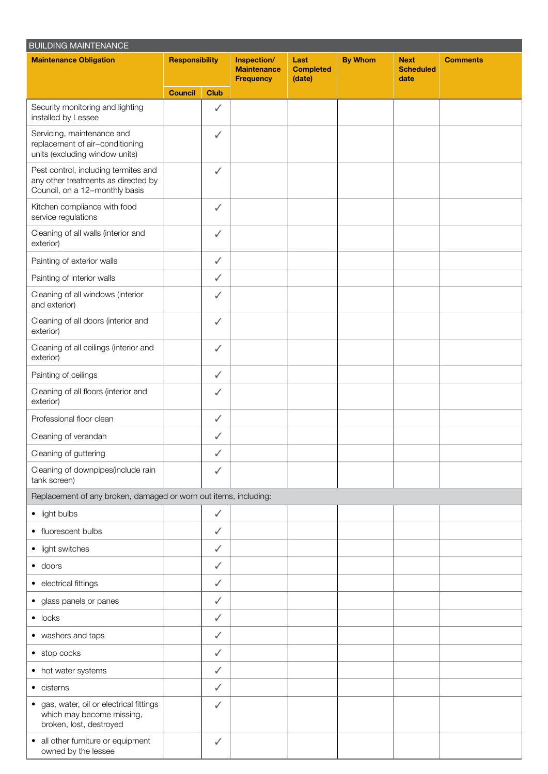| <b>BUILDING MAINTENANCE</b>                                                                                   |                       |              |                                                       |                                    |                |                                         |                 |  |
|---------------------------------------------------------------------------------------------------------------|-----------------------|--------------|-------------------------------------------------------|------------------------------------|----------------|-----------------------------------------|-----------------|--|
| <b>Maintenance Obligation</b>                                                                                 | <b>Responsibility</b> |              | Inspection/<br><b>Maintenance</b><br><b>Frequency</b> | Last<br><b>Completed</b><br>(date) | <b>By Whom</b> | <b>Next</b><br><b>Scheduled</b><br>date | <b>Comments</b> |  |
|                                                                                                               | <b>Council</b>        | <b>Club</b>  |                                                       |                                    |                |                                         |                 |  |
| Security monitoring and lighting<br>installed by Lessee                                                       |                       | ✓            |                                                       |                                    |                |                                         |                 |  |
| Servicing, maintenance and<br>replacement of air-conditioning<br>units (excluding window units)               |                       | ✓            |                                                       |                                    |                |                                         |                 |  |
| Pest control, including termites and<br>any other treatments as directed by<br>Council, on a 12-monthly basis |                       | $\checkmark$ |                                                       |                                    |                |                                         |                 |  |
| Kitchen compliance with food<br>service regulations                                                           |                       | $\checkmark$ |                                                       |                                    |                |                                         |                 |  |
| Cleaning of all walls (interior and<br>exterior)                                                              |                       | $\checkmark$ |                                                       |                                    |                |                                         |                 |  |
| Painting of exterior walls                                                                                    |                       | $\checkmark$ |                                                       |                                    |                |                                         |                 |  |
| Painting of interior walls                                                                                    |                       | ✓            |                                                       |                                    |                |                                         |                 |  |
| Cleaning of all windows (interior<br>and exterior)                                                            |                       | $\checkmark$ |                                                       |                                    |                |                                         |                 |  |
| Cleaning of all doors (interior and<br>exterior)                                                              |                       | $\checkmark$ |                                                       |                                    |                |                                         |                 |  |
| Cleaning of all ceilings (interior and<br>exterior)                                                           |                       | ✓            |                                                       |                                    |                |                                         |                 |  |
| Painting of ceilings                                                                                          |                       | $\checkmark$ |                                                       |                                    |                |                                         |                 |  |
| Cleaning of all floors (interior and<br>exterior)                                                             |                       | ✓            |                                                       |                                    |                |                                         |                 |  |
| Professional floor clean                                                                                      |                       | ✓            |                                                       |                                    |                |                                         |                 |  |
| Cleaning of verandah                                                                                          |                       | ✓            |                                                       |                                    |                |                                         |                 |  |
| Cleaning of guttering                                                                                         |                       | ✓            |                                                       |                                    |                |                                         |                 |  |
| Cleaning of downpipes(include rain<br>tank screen)                                                            |                       | $\checkmark$ |                                                       |                                    |                |                                         |                 |  |
| Replacement of any broken, damaged or worn out items, including:                                              |                       |              |                                                       |                                    |                |                                         |                 |  |
| • light bulbs                                                                                                 |                       | ✓            |                                                       |                                    |                |                                         |                 |  |
| • fluorescent bulbs                                                                                           |                       | ✓            |                                                       |                                    |                |                                         |                 |  |
| • light switches                                                                                              |                       | ✓            |                                                       |                                    |                |                                         |                 |  |
| $\bullet$ doors                                                                                               |                       | $\checkmark$ |                                                       |                                    |                |                                         |                 |  |
| • electrical fittings                                                                                         |                       | ✓            |                                                       |                                    |                |                                         |                 |  |
| • glass panels or panes                                                                                       |                       | ✓            |                                                       |                                    |                |                                         |                 |  |
| $\bullet$ locks                                                                                               |                       | $\checkmark$ |                                                       |                                    |                |                                         |                 |  |
| • washers and taps                                                                                            |                       | $\checkmark$ |                                                       |                                    |                |                                         |                 |  |
| • stop cocks                                                                                                  |                       | ✓            |                                                       |                                    |                |                                         |                 |  |
| • hot water systems                                                                                           |                       | ✓            |                                                       |                                    |                |                                         |                 |  |
| • cisterns                                                                                                    |                       | $\checkmark$ |                                                       |                                    |                |                                         |                 |  |
| · gas, water, oil or electrical fittings<br>which may become missing,<br>broken, lost, destroyed              |                       | ✓            |                                                       |                                    |                |                                         |                 |  |
| • all other furniture or equipment<br>owned by the lessee                                                     |                       | $\checkmark$ |                                                       |                                    |                |                                         |                 |  |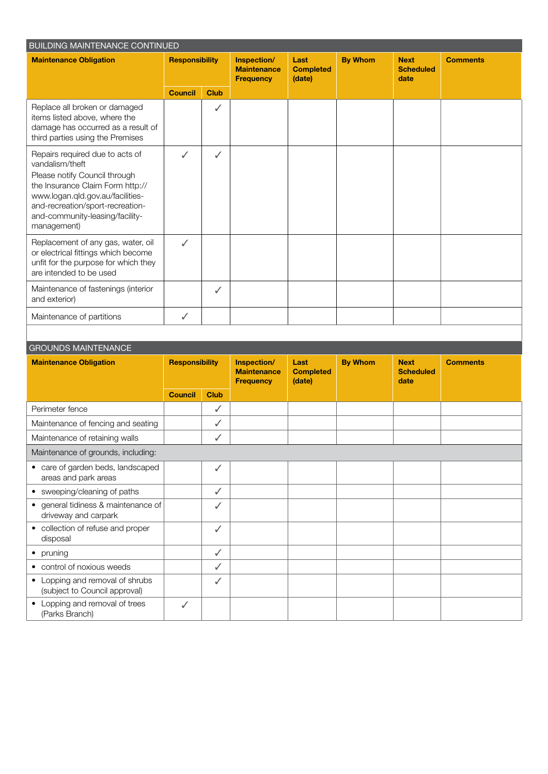| <b>BUILDING MAINTENANCE CONTINUED</b>                                                                                                                                                                                                             |                       |              |                                                       |                                    |                |                                         |                 |  |
|---------------------------------------------------------------------------------------------------------------------------------------------------------------------------------------------------------------------------------------------------|-----------------------|--------------|-------------------------------------------------------|------------------------------------|----------------|-----------------------------------------|-----------------|--|
| <b>Maintenance Obligation</b>                                                                                                                                                                                                                     | <b>Responsibility</b> |              | Inspection/<br><b>Maintenance</b><br><b>Frequency</b> | Last<br><b>Completed</b><br>(date) | <b>By Whom</b> | <b>Next</b><br><b>Scheduled</b><br>date | <b>Comments</b> |  |
|                                                                                                                                                                                                                                                   | <b>Council</b>        | <b>Club</b>  |                                                       |                                    |                |                                         |                 |  |
| Replace all broken or damaged<br>items listed above, where the<br>damage has occurred as a result of<br>third parties using the Premises                                                                                                          |                       | $\checkmark$ |                                                       |                                    |                |                                         |                 |  |
| Repairs required due to acts of<br>vandalism/theft<br>Please notify Council through<br>the Insurance Claim Form http://<br>www.logan.qld.gov.au/facilities-<br>and-recreation/sport-recreation-<br>and-community-leasing/facility-<br>management) | ✓                     | $\checkmark$ |                                                       |                                    |                |                                         |                 |  |
| Replacement of any gas, water, oil<br>or electrical fittings which become<br>unfit for the purpose for which they<br>are intended to be used                                                                                                      | $\checkmark$          |              |                                                       |                                    |                |                                         |                 |  |
| Maintenance of fastenings (interior<br>and exterior)                                                                                                                                                                                              |                       | $\checkmark$ |                                                       |                                    |                |                                         |                 |  |
| Maintenance of partitions                                                                                                                                                                                                                         | J                     |              |                                                       |                                    |                |                                         |                 |  |

### GROUNDS MAINTENANCE

| <u>UI IOUNDU MAIINTEINAINUE</u>                                  |                       |              |                                                       |                                    |                |                                         |                 |  |
|------------------------------------------------------------------|-----------------------|--------------|-------------------------------------------------------|------------------------------------|----------------|-----------------------------------------|-----------------|--|
| <b>Maintenance Obligation</b>                                    | <b>Responsibility</b> |              | Inspection/<br><b>Maintenance</b><br><b>Frequency</b> | Last<br><b>Completed</b><br>(date) | <b>By Whom</b> | <b>Next</b><br><b>Scheduled</b><br>date | <b>Comments</b> |  |
|                                                                  | <b>Council</b>        | <b>Club</b>  |                                                       |                                    |                |                                         |                 |  |
| Perimeter fence                                                  |                       | ✓            |                                                       |                                    |                |                                         |                 |  |
| Maintenance of fencing and seating                               |                       | ✓            |                                                       |                                    |                |                                         |                 |  |
| Maintenance of retaining walls                                   |                       | ✓            |                                                       |                                    |                |                                         |                 |  |
| Maintenance of grounds, including:                               |                       |              |                                                       |                                    |                |                                         |                 |  |
| • care of garden beds, landscaped<br>areas and park areas        |                       | $\checkmark$ |                                                       |                                    |                |                                         |                 |  |
| • sweeping/cleaning of paths                                     |                       | ✓            |                                                       |                                    |                |                                         |                 |  |
| • general tidiness & maintenance of<br>driveway and carpark      |                       | ✓            |                                                       |                                    |                |                                         |                 |  |
| • collection of refuse and proper<br>disposal                    |                       | $\checkmark$ |                                                       |                                    |                |                                         |                 |  |
| • pruning                                                        |                       | $\checkmark$ |                                                       |                                    |                |                                         |                 |  |
| • control of noxious weeds                                       |                       | ✓            |                                                       |                                    |                |                                         |                 |  |
| • Lopping and removal of shrubs<br>(subject to Council approval) |                       | $\checkmark$ |                                                       |                                    |                |                                         |                 |  |
| Lopping and removal of trees<br>(Parks Branch)                   | ✓                     |              |                                                       |                                    |                |                                         |                 |  |